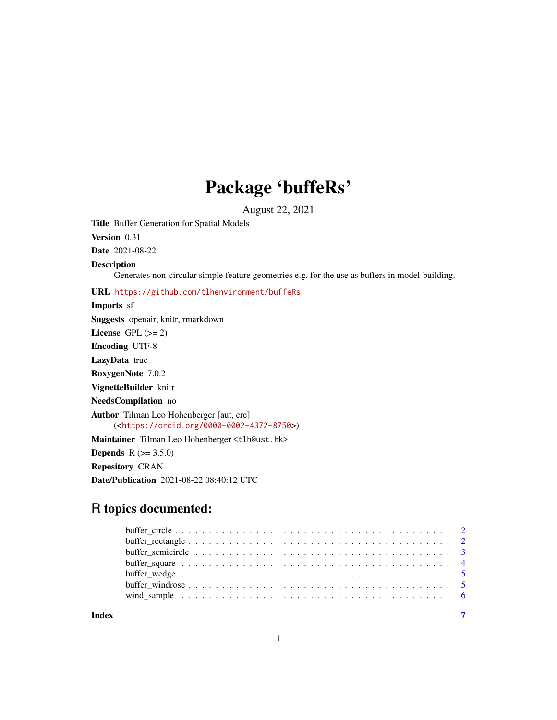## Package 'buffeRs'

August 22, 2021

Title Buffer Generation for Spatial Models

Version 0.31

Date 2021-08-22

#### Description

Generates non-circular simple feature geometries e.g. for the use as buffers in model-building.

URL <https://github.com/tlhenvironment/buffeRs>

Imports sf Suggests openair, knitr, rmarkdown

License GPL  $(>= 2)$ 

Encoding UTF-8

LazyData true

RoxygenNote 7.0.2

VignetteBuilder knitr

NeedsCompilation no

Author Tilman Leo Hohenberger [aut, cre]

(<<https://orcid.org/0000-0002-4372-8750>>)

Maintainer Tilman Leo Hohenberger <tlh@ust.hk>

**Depends** R  $(>= 3.5.0)$ 

Repository CRAN

Date/Publication 2021-08-22 08:40:12 UTC

### R topics documented:

#### **Index** [7](#page-6-0) **7**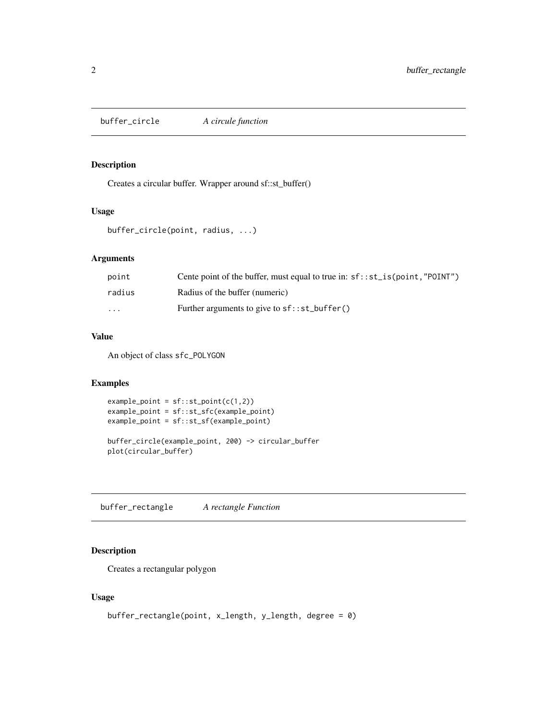<span id="page-1-0"></span>buffer\_circle *A circule function*

#### Description

Creates a circular buffer. Wrapper around sf::st\_buffer()

#### Usage

```
buffer_circle(point, radius, ...)
```
#### Arguments

| point    | Cente point of the buffer, must equal to true in: $sf::st_is(point, "POINT")$ |
|----------|-------------------------------------------------------------------------------|
| radius   | Radius of the buffer (numeric)                                                |
| $\cdots$ | Further arguments to give to $sf::st_buffer()$                                |

#### Value

An object of class sfc\_POLYGON

#### Examples

```
example\_point = sf::st\_point(c(1,2))example_point = sf::st_sfc(example_point)
example_point = sf::st_sf(example_point)
buffer_circle(example_point, 200) -> circular_buffer
```
plot(circular\_buffer)

buffer\_rectangle *A rectangle Function*

#### Description

Creates a rectangular polygon

#### Usage

```
buffer_rectangle(point, x_length, y_length, degree = 0)
```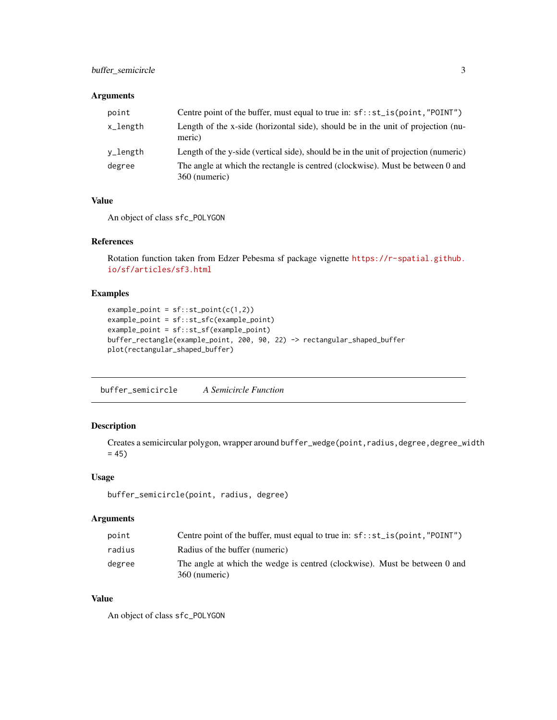#### <span id="page-2-0"></span>buffer\_semicircle 3

#### Arguments

| point    | Centre point of the buffer, must equal to true in: $sf::st_is(point, "P0INT")$                  |
|----------|-------------------------------------------------------------------------------------------------|
| x_length | Length of the x-side (horizontal side), should be in the unit of projection (nu-<br>meric)      |
| v_length | Length of the y-side (vertical side), should be in the unit of projection (numeric)             |
| degree   | The angle at which the rectangle is centred (clockwise). Must be between 0 and<br>360 (numeric) |

#### Value

An object of class sfc\_POLYGON

#### References

Rotation function taken from Edzer Pebesma sf package vignette [https://r-spatial.github.](https://r-spatial.github.io/sf/articles/sf3.html) [io/sf/articles/sf3.html](https://r-spatial.github.io/sf/articles/sf3.html)

#### Examples

```
example\_point = sf::st\_point(c(1,2))example_point = sf::st_sfc(example_point)
example_point = sf::st_sf(example_point)
buffer_rectangle(example_point, 200, 90, 22) -> rectangular_shaped_buffer
plot(rectangular_shaped_buffer)
```
buffer\_semicircle *A Semicircle Function*

#### Description

Creates a semicircular polygon, wrapper around buffer\_wedge(point,radius,degree,degree\_width  $= 45$ 

#### Usage

buffer\_semicircle(point, radius, degree)

#### Arguments

| point  | Centre point of the buffer, must equal to true in: $sf::st_is(point,"P0INT")$               |
|--------|---------------------------------------------------------------------------------------------|
| radius | Radius of the buffer (numeric)                                                              |
| degree | The angle at which the wedge is centred (clockwise). Must be between 0 and<br>360 (numeric) |

#### Value

An object of class sfc\_POLYGON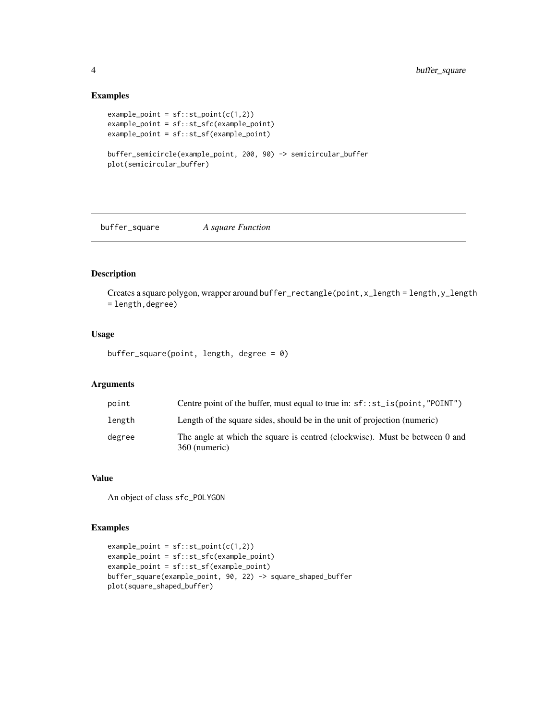#### Examples

```
example\_point = sf::st\_point(c(1,2))example_point = sf::st_sfc(example_point)
example_point = sf::st_sf(example_point)
buffer_semicircle(example_point, 200, 90) -> semicircular_buffer
plot(semicircular_buffer)
```
buffer\_square *A square Function*

#### Description

Creates a square polygon, wrapper around buffer\_rectangle(point, x\_length = length, y\_length = length,degree)

#### Usage

buffer\_square(point, length, degree = 0)

#### Arguments

| point  | Centre point of the buffer, must equal to true in: $sf::st_is(point,"P0INT")$                |
|--------|----------------------------------------------------------------------------------------------|
| length | Length of the square sides, should be in the unit of projection (numeric)                    |
| degree | The angle at which the square is centred (clockwise). Must be between 0 and<br>360 (numeric) |

#### Value

An object of class sfc\_POLYGON

#### Examples

```
example\_point = sf::st\_point(c(1,2))example_point = sf::st_sfc(example_point)
example_point = sf::st_sf(example_point)
buffer_square(example_point, 90, 22) -> square_shaped_buffer
plot(square_shaped_buffer)
```
<span id="page-3-0"></span>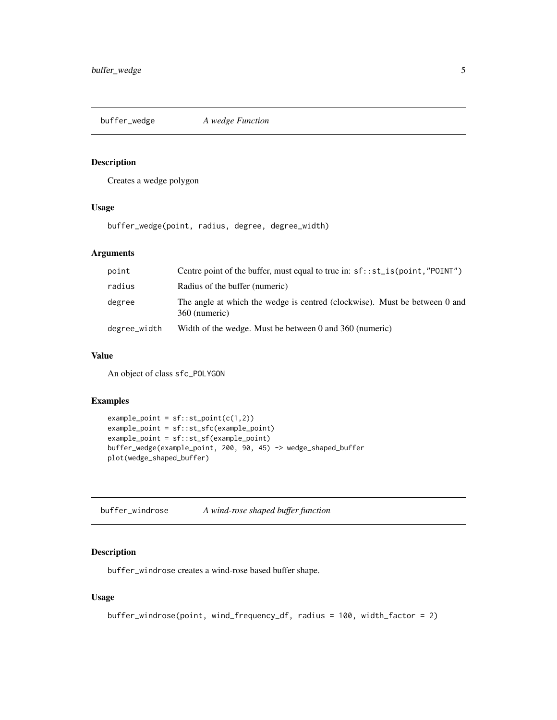<span id="page-4-0"></span>buffer\_wedge *A wedge Function*

#### Description

Creates a wedge polygon

#### Usage

buffer\_wedge(point, radius, degree, degree\_width)

#### Arguments

| point        | Centre point of the buffer, must equal to true in: $sf::st_is(point,"P0INT")$               |
|--------------|---------------------------------------------------------------------------------------------|
| radius       | Radius of the buffer (numeric)                                                              |
| degree       | The angle at which the wedge is centred (clockwise). Must be between 0 and<br>360 (numeric) |
| degree_width | Width of the wedge. Must be between 0 and $360$ (numeric)                                   |

#### Value

An object of class sfc\_POLYGON

#### Examples

```
example\_point = sf::st\_point(c(1,2))example_point = sf::st_sfc(example_point)
example_point = sf::st_sf(example_point)
buffer_wedge(example_point, 200, 90, 45) -> wedge_shaped_buffer
plot(wedge_shaped_buffer)
```
buffer\_windrose *A wind-rose shaped buffer function*

#### Description

buffer\_windrose creates a wind-rose based buffer shape.

#### Usage

```
buffer_windrose(point, wind_frequency_df, radius = 100, width_factor = 2)
```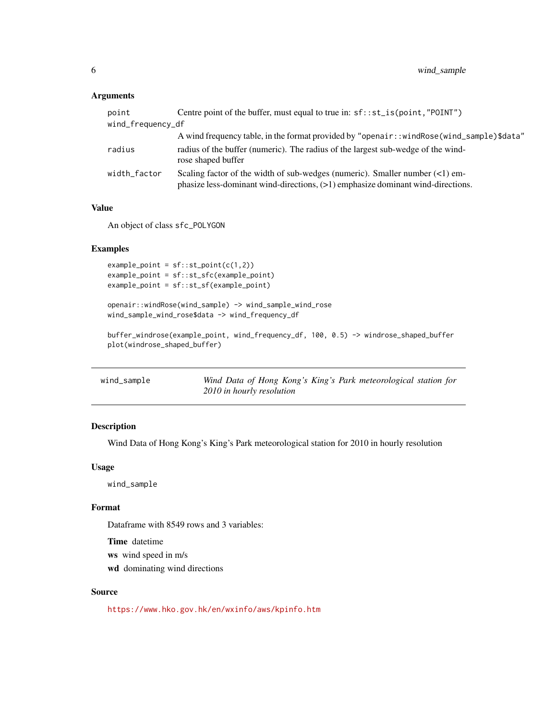#### <span id="page-5-0"></span>Arguments

| point             | Centre point of the buffer, must equal to true in: $sf::st_is(point, "P0INT")$                                                                                      |
|-------------------|---------------------------------------------------------------------------------------------------------------------------------------------------------------------|
| wind_frequency_df |                                                                                                                                                                     |
|                   | A wind frequency table, in the format provided by "openair:: windRose (wind_sample)\$data"                                                                          |
| radius            | radius of the buffer (numeric). The radius of the largest sub-wedge of the wind-<br>rose shaped buffer                                                              |
| width_factor      | Scaling factor of the width of sub-wedges (numeric). Smaller number $(<1)$ em-<br>phasize less-dominant wind-directions, $(>1)$ emphasize dominant wind-directions. |

#### Value

An object of class sfc\_POLYGON

#### Examples

example\_point = sf::st\_point(c(1,2)) example\_point = sf::st\_sfc(example\_point) example\_point = sf::st\_sf(example\_point)

openair::windRose(wind\_sample) -> wind\_sample\_wind\_rose wind\_sample\_wind\_rose\$data -> wind\_frequency\_df

buffer\_windrose(example\_point, wind\_frequency\_df, 100, 0.5) -> windrose\_shaped\_buffer plot(windrose\_shaped\_buffer)

| wind_sample | Wind Data of Hong Kong's King's Park meteorological station for |
|-------------|-----------------------------------------------------------------|
|             | 2010 in hourly resolution                                       |

#### Description

Wind Data of Hong Kong's King's Park meteorological station for 2010 in hourly resolution

#### Usage

wind\_sample

#### Format

Dataframe with 8549 rows and 3 variables:

Time datetime

ws wind speed in m/s

wd dominating wind directions

#### Source

<https://www.hko.gov.hk/en/wxinfo/aws/kpinfo.htm>